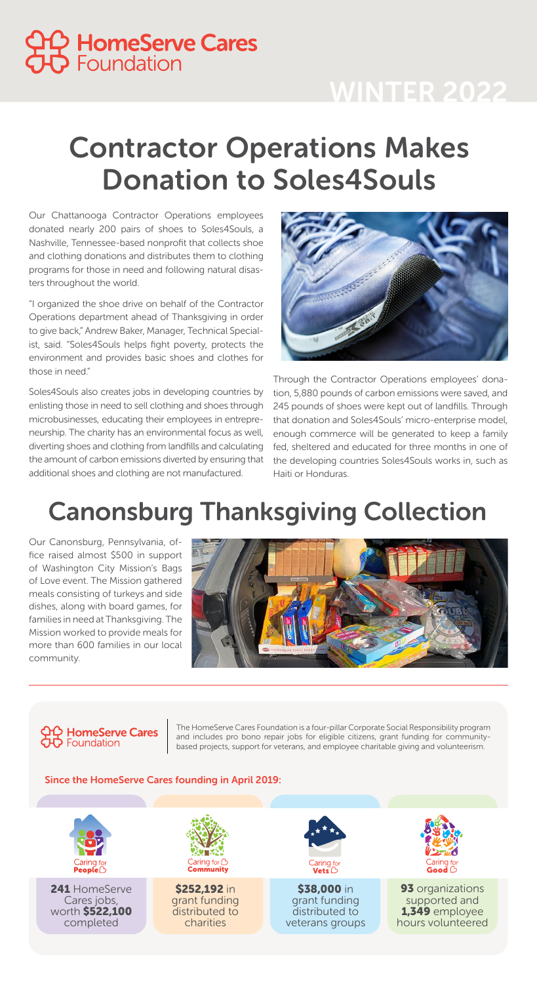Our Chattanooga Contractor Operations employees donated nearly 200 pairs of shoes to Soles4Souls, a Nashville, Tennessee-based nonprofit that collects shoe and clothing donations and distributes them to clothing programs for those in need and following natural disasters throughout the world.

"I organized the shoe drive on behalf of the Contractor Operations department ahead of Thanksgiving in order to give back," Andrew Baker, Manager, Technical Specialist, said. "Soles4Souls helps fight poverty, protects the environment and provides basic shoes and clothes for those in need."

Soles4Souls also creates jobs in developing countries by enlisting those in need to sell clothing and shoes through microbusinesses, educating their employees in entrepreneurship. The charity has an environmental focus as well, diverting shoes and clothing from landfills and calculating the amount of carbon emissions diverted by ensuring that additional shoes and clothing are not manufactured.



# Contractor Operations Makes Donation to Soles4Souls



## WINTER 2022



The HomeServe Cares Foundation is a four-pillar Corporate Social Responsibility program and includes pro bono repair jobs for eligible citizens, grant funding for communitybased projects, support for veterans, and employee charitable giving and volunteerism.

#### Since the HomeServe Cares founding in April 2019:

Through the Contractor Operations employees' donation, 5,880 pounds of carbon emissions were saved, and 245 pounds of shoes were kept out of landfills. Through that donation and Soles4Souls' micro-enterprise model, enough commerce will be generated to keep a family fed, sheltered and educated for three months in one of the developing countries Soles4Souls works in, such as Haiti or Honduras.

## Canonsburg Thanksgiving Collection

Our Canonsburg, Pennsylvania, office raised almost \$500 in support of Washington City Mission's Bags of Love event. The Mission gathered meals consisting of turkeys and side dishes, along with board games, for families in need at Thanksgiving. The Mission worked to provide meals for more than 600 families in our local community.



#### **IQ HomeServe Cares OD** Foundation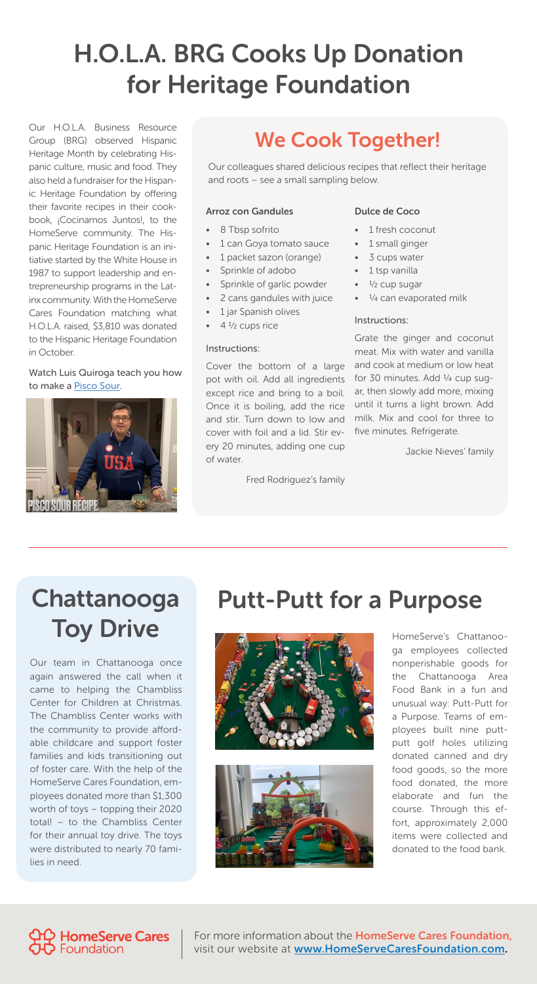### H.O.L.A. BRG Cooks Up Donation for Heritage Foundation

Our H.O.L.A. Business Resource Group (BRG) observed Hispanic Heritage Month by celebrating Hispanic culture, music and food. They also held a fundraiser for the Hispanic Heritage Foundation by offering their favorite recipes in their cookbook, ¡Cocinamos Juntos!, to the HomeServe community. The Hispanic Heritage Foundation is an initiative started by the White House in 1987 to support leadership and entrepreneurship programs in the Latinx community. With the HomeServe Cares Foundation matching what H.O.L.A. raised, \$3,810 was donated to the Hispanic Heritage Foundation in October.

- 8 Tbsp sofrito
- 1 can Goya tomato sauce
- 1 packet sazon (orange)
- Sprinkle of adobo
- Sprinkle of garlic powder
- 2 cans gandules with juice
- 1 jar Spanish olives
- $4\frac{1}{2}$  cups rice

### We Cook Together!

Our colleagues shared delicious recipes that reflect their heritage and roots – see a small sampling below.

#### Arroz con Gandules

#### Instructions:

Cover the bottom of a large pot with oil. Add all ingredients except rice and bring to a boil. Once it is boiling, add the rice and stir. Turn down to low and cover with foil and a lid. Stir every 20 minutes, adding one cup of water.

Fred Rodriguez's family

#### Dulce de Coco

- 1 fresh coconut
- 1 small ginger
- 3 cups water
- 1 tsp vanilla
- $1/2$  cup sugar
- $\frac{1}{4}$  can evaporated milk

#### Instructions:

Grate the ginger and coconut meat. Mix with water and vanilla and cook at medium or low heat for 30 minutes. Add  $\frac{1}{4}$  cup sugar, then slowly add more, mixing until it turns a light brown. Add milk. Mix and cool for three to five minutes. Refrigerate.

Jackie Nieves' family

#### Watch Luis Quiroga teach you how to make a [Pisco Sour.](https://vimeo.com/675876493/a74ccafada)



### Chattanooga Toy Drive

### Putt-Putt for a Purpose



Our team in Chattanooga once again answered the call when it came to helping the Chambliss Center for Children at Christmas. The Chambliss Center works with the community to provide affordable childcare and support foster families and kids transitioning out of foster care. With the help of the HomeServe Cares Foundation, employees donated more than \$1,300 worth of toys – topping their 2020 total! – to the Chambliss Center for their annual toy drive. The toys were distributed to nearly 70 families in need.

HomeServe's Chattanooga employees collected nonperishable goods for the Chattanooga Area Food Bank in a fun and unusual way: Putt-Putt for a Purpose. Teams of employees built nine puttputt golf holes utilizing donated canned and dry food goods, so the more food donated, the more elaborate and fun the course. Through this effort, approximately 2,000 items were collected and donated to the food bank.





For more information about the **HomeServe Cares Foundation**, visit our website at **[www.HomeServeCaresFoundation.com](http://www.homeservecaresfoundation.com).**